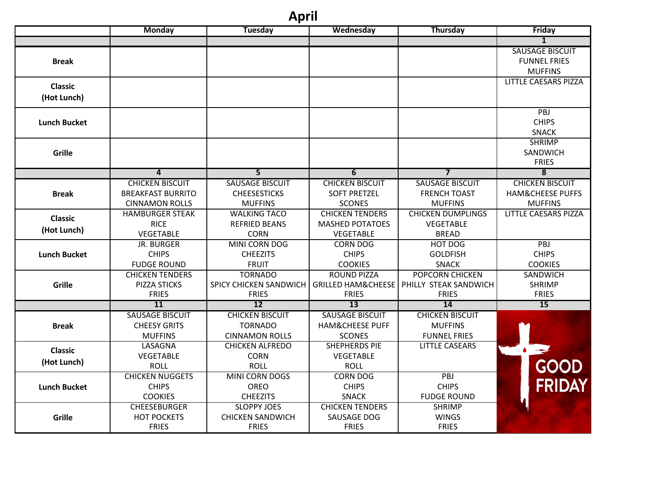## **April**

|                     | <b>Monday</b>            | <b>Tuesday</b>          | Wednesday              | <b>Thursday</b>                            | Friday                        |
|---------------------|--------------------------|-------------------------|------------------------|--------------------------------------------|-------------------------------|
|                     |                          |                         |                        |                                            | $\overline{1}$                |
|                     |                          |                         |                        |                                            | <b>SAUSAGE BISCUIT</b>        |
| <b>Break</b>        |                          |                         |                        |                                            | <b>FUNNEL FRIES</b>           |
|                     |                          |                         |                        |                                            | <b>MUFFINS</b>                |
| <b>Classic</b>      |                          |                         |                        |                                            | <b>LITTLE CAESARS PIZZA</b>   |
| (Hot Lunch)         |                          |                         |                        |                                            |                               |
|                     |                          |                         |                        |                                            |                               |
| <b>Lunch Bucket</b> |                          |                         |                        |                                            | PBJ<br><b>CHIPS</b>           |
|                     |                          |                         |                        |                                            |                               |
|                     |                          |                         |                        |                                            | <b>SNACK</b><br><b>SHRIMP</b> |
| <b>Grille</b>       |                          |                         |                        |                                            | SANDWICH                      |
|                     |                          |                         |                        |                                            | <b>FRIES</b>                  |
|                     | $\overline{4}$           | 5                       | 6                      | $\overline{\mathbf{z}}$                    | $\overline{\mathbf{8}}$       |
|                     | <b>CHICKEN BISCUIT</b>   | <b>SAUSAGE BISCUIT</b>  | <b>CHICKEN BISCUIT</b> | <b>SAUSAGE BISCUIT</b>                     | <b>CHICKEN BISCUIT</b>        |
| <b>Break</b>        | <b>BREAKFAST BURRITO</b> | <b>CHEESESTICKS</b>     | <b>SOFT PRETZEL</b>    | <b>FRENCH TOAST</b>                        | <b>HAM&amp;CHEESE PUFFS</b>   |
|                     | <b>CINNAMON ROLLS</b>    | <b>MUFFINS</b>          | <b>SCONES</b>          | <b>MUFFINS</b>                             | <b>MUFFINS</b>                |
|                     | <b>HAMBURGER STEAK</b>   | <b>WALKING TACO</b>     | <b>CHICKEN TENDERS</b> | <b>CHICKEN DUMPLINGS</b>                   | <b>LITTLE CAESARS PIZZA</b>   |
| <b>Classic</b>      | <b>RICE</b>              | <b>REFRIED BEANS</b>    | <b>MASHED POTATOES</b> | VEGETABLE                                  |                               |
| (Hot Lunch)         | VEGETABLE                | <b>CORN</b>             | VEGETABLE              | <b>BREAD</b>                               |                               |
|                     | <b>JR. BURGER</b>        | MINI CORN DOG           | <b>CORN DOG</b>        | HOT DOG                                    | PBJ                           |
| <b>Lunch Bucket</b> | <b>CHIPS</b>             | <b>CHEEZITS</b>         | <b>CHIPS</b>           | <b>GOLDFISH</b>                            | <b>CHIPS</b>                  |
|                     | <b>FUDGE ROUND</b>       | <b>FRUIT</b>            | <b>COOKIES</b>         | <b>SNACK</b>                               | <b>COOKIES</b>                |
|                     | <b>CHICKEN TENDERS</b>   | <b>TORNADO</b>          | ROUND PIZZA            | <b>POPCORN CHICKEN</b>                     | SANDWICH                      |
| <b>Grille</b>       | PIZZA STICKS             | SPICY CHICKEN SANDWICH  |                        | GRILLED HAM&CHEESE   PHILLY STEAK SANDWICH | <b>SHRIMP</b>                 |
|                     | <b>FRIES</b>             | <b>FRIES</b>            | <b>FRIES</b>           | <b>FRIES</b>                               | <b>FRIES</b>                  |
|                     | <b>11</b>                | $\overline{12}$         | $\overline{13}$        | 14                                         | $\overline{15}$               |
|                     | <b>SAUSAGE BISCUIT</b>   | <b>CHICKEN BISCUIT</b>  | <b>SAUSAGE BISCUIT</b> | <b>CHICKEN BISCUIT</b>                     |                               |
| <b>Break</b>        | <b>CHEESY GRITS</b>      | <b>TORNADO</b>          | HAM&CHEESE PUFF        | <b>MUFFINS</b>                             |                               |
|                     | <b>MUFFINS</b>           | <b>CINNAMON ROLLS</b>   | <b>SCONES</b>          | <b>FUNNEL FRIES</b>                        |                               |
| <b>Classic</b>      | <b>LASAGNA</b>           | <b>CHICKEN ALFREDO</b>  | <b>SHEPHERDS PIE</b>   | <b>LITTLE CASEARS</b>                      | $\bullet$ and                 |
| (Hot Lunch)         | VEGETABLE                | <b>CORN</b>             | VEGETABLE              |                                            |                               |
|                     | <b>ROLL</b>              | <b>ROLL</b>             | <b>ROLL</b>            |                                            | GOOD                          |
|                     | <b>CHICKEN NUGGETS</b>   | MINI CORN DOGS          | <b>CORN DOG</b>        | PBJ                                        | FRIDAY                        |
| <b>Lunch Bucket</b> | <b>CHIPS</b>             | <b>OREO</b>             | <b>CHIPS</b>           | <b>CHIPS</b>                               |                               |
|                     | <b>COOKIES</b>           | <b>CHEEZITS</b>         | <b>SNACK</b>           | <b>FUDGE ROUND</b>                         |                               |
| Grille              | <b>CHEESEBURGER</b>      | <b>SLOPPY JOES</b>      | <b>CHICKEN TENDERS</b> | <b>SHRIMP</b>                              |                               |
|                     | <b>HOT POCKETS</b>       | <b>CHICKEN SANDWICH</b> | SAUSAGE DOG            | <b>WINGS</b><br><b>FRIES</b>               |                               |
|                     | <b>FRIES</b>             | <b>FRIES</b>            | <b>FRIES</b>           |                                            |                               |